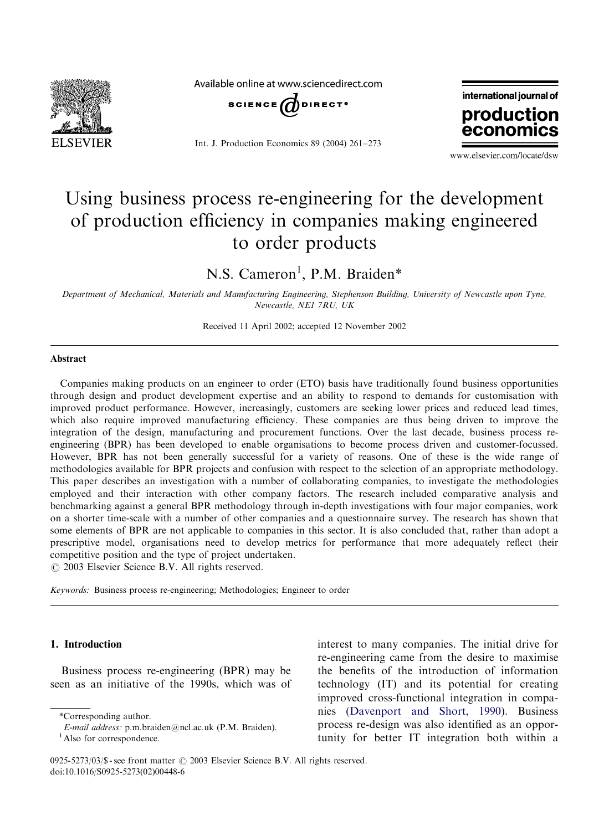

Available online at www.sciencedirect.com



Int. J. Production Economics 89 (2004) 261–273



www.elsevier.com/locate/dsw

## Using business process re-engineering for the development of production efficiency in companies making engineered to order products

N.S. Cameron<sup>1</sup>, P.M. Braiden\*

Department of Mechanical, Materials and Manufacturing Engineering, Stephenson Building, University of Newcastle upon Tyne, Newcastle, NE1 7RU, UK

Received 11 April 2002; accepted 12 November 2002

## Abstract

Companies making products on an engineer to order (ETO) basis have traditionally found business opportunities through design and product development expertise and an ability to respond to demands for customisation with improved product performance. However, increasingly, customers are seeking lower prices and reduced lead times, which also require improved manufacturing efficiency. These companies are thus being driven to improve the integration of the design, manufacturing and procurement functions. Over the last decade, business process reengineering (BPR) has been developed to enable organisations to become process driven and customer-focussed. However, BPR has not been generally successful for a variety of reasons. One of these is the wide range of methodologies available for BPR projects and confusion with respect to the selection of an appropriate methodology. This paper describes an investigation with a number of collaborating companies, to investigate the methodologies employed and their interaction with other company factors. The research included comparative analysis and benchmarking against a general BPR methodology through in-depth investigations with four major companies, work on a shorter time-scale with a number of other companies and a questionnaire survey. The research has shown that some elements of BPR are not applicable to companies in this sector. It is also concluded that, rather than adopt a prescriptive model, organisations need to develop metrics for performance that more adequately reflect their competitive position and the type of project undertaken.  $Q$  2003 Elsevier Science B.V. All rights reserved.

Keywords: Business process re-engineering; Methodologies; Engineer to order

## 1. Introduction

Business process re-engineering (BPR) may be seen as an initiative of the 1990s, which was of interest to many companies. The initial drive for re-engineering came from the desire to maximise the benefits of the introduction of information technology (IT) and its potential for creating improved cross-functional integration in companies ([Davenport and Short, 1990\)](#page--1-0). Business process re-design was also identified as an opportunity for better IT integration both within a

<sup>\*</sup>Corresponding author.

E-mail address: p.m.braiden@ncl.ac.uk (P.M. Braiden).

<sup>&</sup>lt;sup>1</sup>Also for correspondence.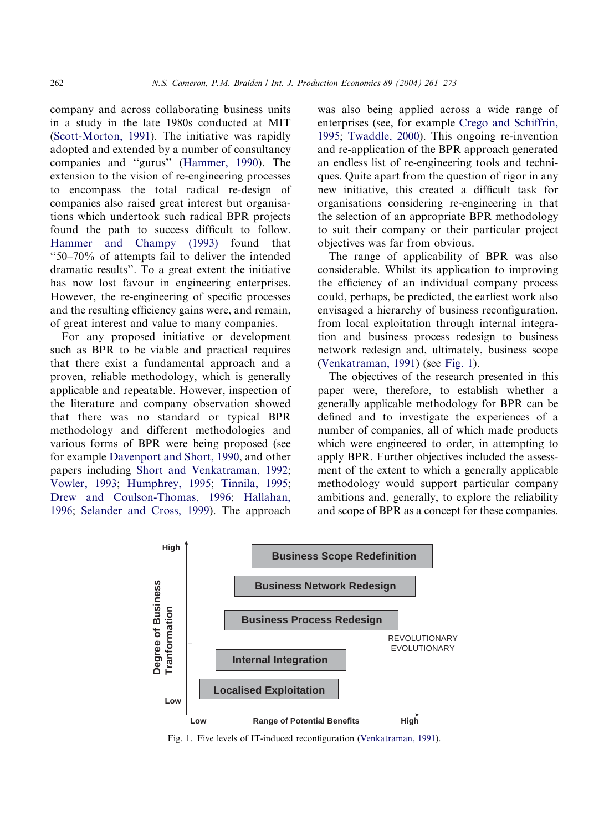company and across collaborating business units in a study in the late 1980s conducted at MIT [\(Scott-Morton, 1991\)](#page--1-0). The initiative was rapidly adopted and extended by a number of consultancy companies and ''gurus'' ([Hammer, 1990\)](#page--1-0). The extension to the vision of re-engineering processes to encompass the total radical re-design of companies also raised great interest but organisations which undertook such radical BPR projects found the path to success difficult to follow. [Hammer and Champy \(1993\)](#page--1-0) found that ''50–70% of attempts fail to deliver the intended dramatic results''. To a great extent the initiative has now lost favour in engineering enterprises. However, the re-engineering of specific processes and the resulting efficiency gains were, and remain, of great interest and value to many companies.

For any proposed initiative or development such as BPR to be viable and practical requires that there exist a fundamental approach and a proven, reliable methodology, which is generally applicable and repeatable. However, inspection of the literature and company observation showed that there was no standard or typical BPR methodology and different methodologies and various forms of BPR were being proposed (see for example [Davenport and Short, 1990,](#page--1-0) and other papers including [Short and Venkatraman, 1992](#page--1-0); [Vowler, 1993;](#page--1-0) [Humphrey, 1995;](#page--1-0) [Tinnila, 1995](#page--1-0); [Drew and Coulson-Thomas, 1996](#page--1-0); [Hallahan,](#page--1-0) [1996;](#page--1-0) [Selander and Cross, 1999](#page--1-0)). The approach

was also being applied across a wide range of enterprises (see, for example [Crego and Schiffrin,](#page--1-0) [1995;](#page--1-0) [Twaddle, 2000\)](#page--1-0). This ongoing re-invention and re-application of the BPR approach generated an endless list of re-engineering tools and techniques. Quite apart from the question of rigor in any new initiative, this created a difficult task for organisations considering re-engineering in that the selection of an appropriate BPR methodology to suit their company or their particular project objectives was far from obvious.

The range of applicability of BPR was also considerable. Whilst its application to improving the efficiency of an individual company process could, perhaps, be predicted, the earliest work also envisaged a hierarchy of business reconfiguration, from local exploitation through internal integration and business process redesign to business network redesign and, ultimately, business scope [\(Venkatraman, 1991\)](#page--1-0) (see Fig. 1).

The objectives of the research presented in this paper were, therefore, to establish whether a generally applicable methodology for BPR can be defined and to investigate the experiences of a number of companies, all of which made products which were engineered to order, in attempting to apply BPR. Further objectives included the assessment of the extent to which a generally applicable methodology would support particular company ambitions and, generally, to explore the reliability and scope of BPR as a concept for these companies.



Fig. 1. Five levels of IT-induced reconfiguration [\(Venkatraman, 1991](#page--1-0)).